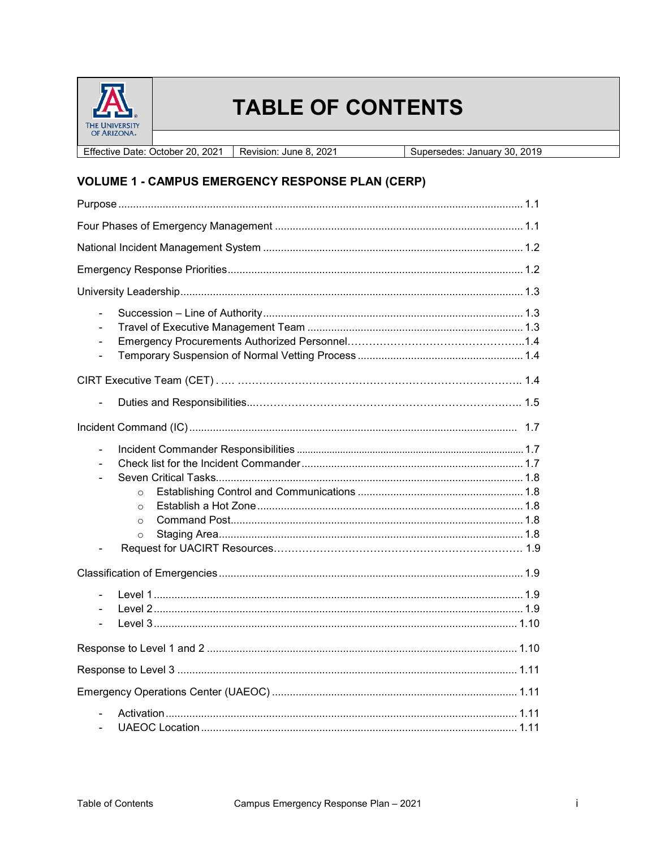

# **TABLE OF CONTENTS**

Effective Date: October 20, 2021 | Revision: June 8, 2021 Supersedes: January 30, 2019

# **VOLUME 1 - CAMPUS EMERGENCY RESPONSE PLAN (CERP)**

| ä,                                                         |
|------------------------------------------------------------|
|                                                            |
|                                                            |
|                                                            |
| $\overline{a}$<br>$\circ$<br>$\circ$<br>$\circ$<br>$\circ$ |
|                                                            |
|                                                            |
|                                                            |
|                                                            |
|                                                            |
|                                                            |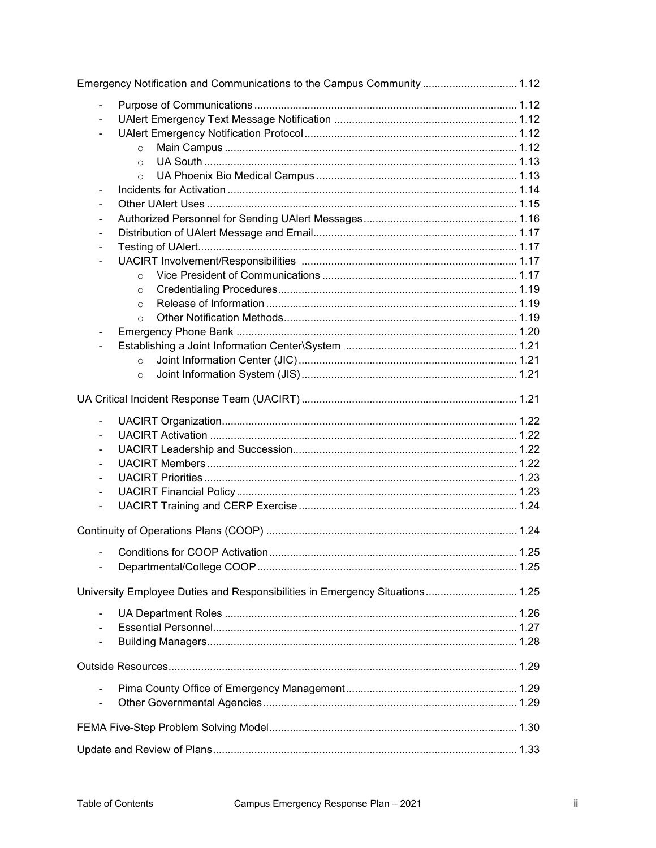|                | Emergency Notification and Communications to the Campus Community  1.12      |  |
|----------------|------------------------------------------------------------------------------|--|
| ÷,             |                                                                              |  |
|                |                                                                              |  |
|                |                                                                              |  |
|                | $\circ$                                                                      |  |
|                | $\circ$                                                                      |  |
|                | $\circ$                                                                      |  |
|                |                                                                              |  |
|                |                                                                              |  |
|                |                                                                              |  |
|                |                                                                              |  |
|                |                                                                              |  |
|                |                                                                              |  |
|                | $\circ$                                                                      |  |
|                | $\circ$                                                                      |  |
|                | $\circ$                                                                      |  |
|                | $\Omega$                                                                     |  |
|                |                                                                              |  |
|                |                                                                              |  |
|                | $\circ$                                                                      |  |
|                | $\circ$                                                                      |  |
|                |                                                                              |  |
| $\blacksquare$ |                                                                              |  |
|                |                                                                              |  |
|                |                                                                              |  |
|                |                                                                              |  |
|                |                                                                              |  |
|                |                                                                              |  |
| $\frac{1}{2}$  |                                                                              |  |
|                |                                                                              |  |
|                |                                                                              |  |
|                |                                                                              |  |
|                | University Employee Duties and Responsibilities in Emergency Situations 1.25 |  |
|                |                                                                              |  |
|                |                                                                              |  |
|                |                                                                              |  |
|                |                                                                              |  |
|                |                                                                              |  |
|                |                                                                              |  |
|                |                                                                              |  |
|                |                                                                              |  |
|                |                                                                              |  |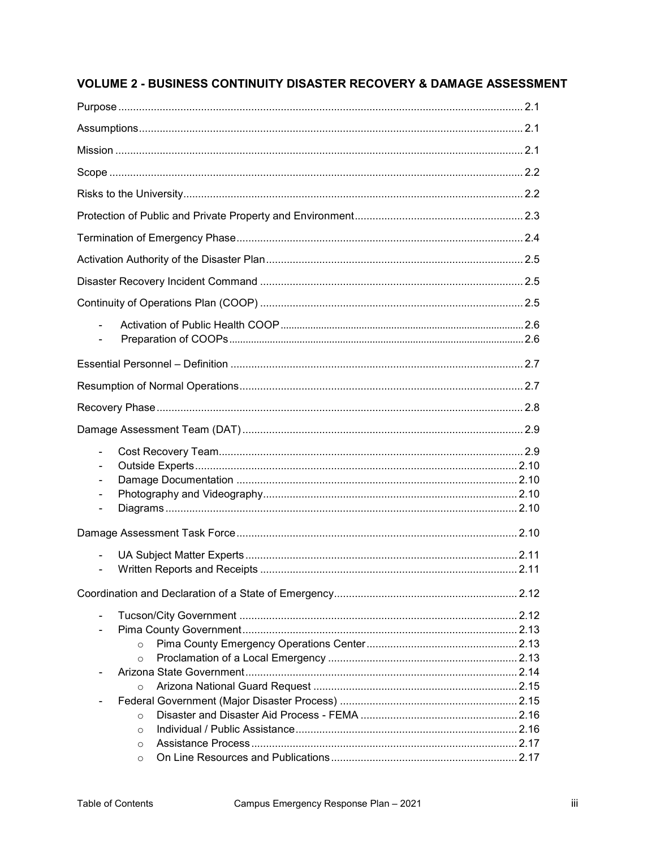## **VOLUME 2 - BUSINESS CONTINUITY DISASTER RECOVERY & DAMAGE ASSESSMENT**

| $\qquad \qquad \blacksquare$ |  |
|------------------------------|--|
| $\overline{\phantom{a}}$     |  |
| $\qquad \qquad \blacksquare$ |  |
|                              |  |
|                              |  |
|                              |  |
|                              |  |
|                              |  |
|                              |  |
|                              |  |
| $\circ$                      |  |
| $\circ$                      |  |
| $\circ$                      |  |
|                              |  |
| $\circ$                      |  |
| $\Omega$                     |  |
| $\circ$                      |  |
| $\circ$                      |  |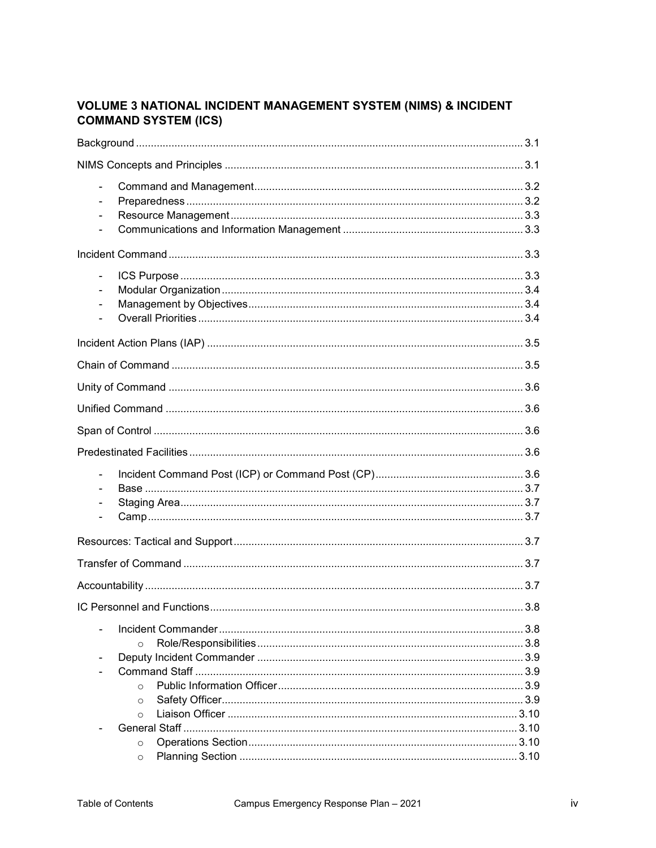#### **VOLUME 3 NATIONAL INCIDENT MANAGEMENT SYSTEM (NIMS) & INCIDENT COMMAND SYSTEM (ICS)**

| $\blacksquare$<br>$\overline{\phantom{0}}$                   |
|--------------------------------------------------------------|
|                                                              |
| $\qquad \qquad \blacksquare$<br>$\qquad \qquad \blacksquare$ |
|                                                              |
|                                                              |
|                                                              |
|                                                              |
|                                                              |
|                                                              |
| ä,<br>٠                                                      |
|                                                              |
|                                                              |
|                                                              |
|                                                              |
| $\circ$<br>$\Omega$<br>$\circ$<br>$\circ$                    |
| $\circ$<br>$\circ$                                           |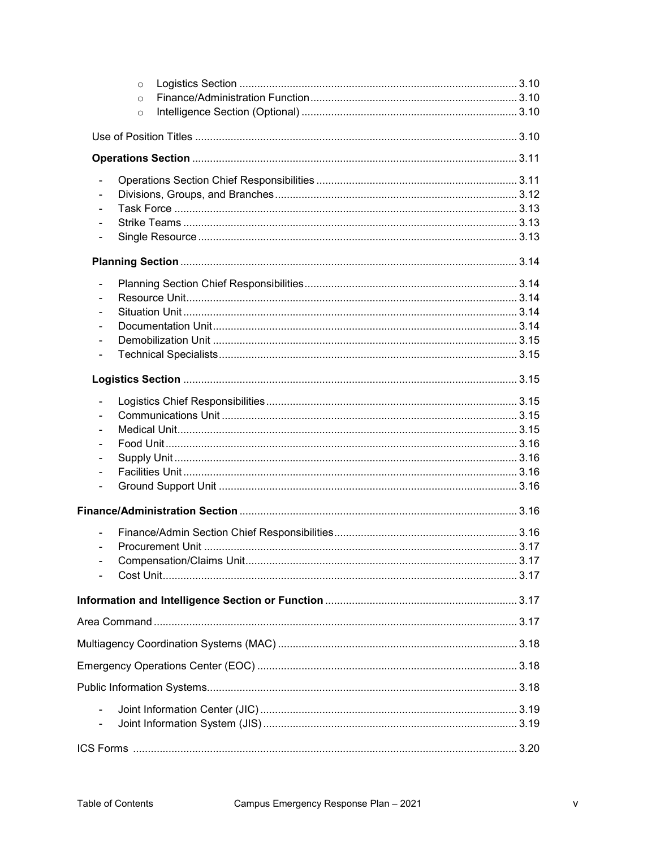|                | $\circ$ |  |
|----------------|---------|--|
|                | $\circ$ |  |
|                | $\circ$ |  |
|                |         |  |
|                |         |  |
|                |         |  |
|                |         |  |
|                |         |  |
|                |         |  |
|                |         |  |
|                |         |  |
|                |         |  |
|                |         |  |
|                |         |  |
|                |         |  |
|                |         |  |
| $\blacksquare$ |         |  |
|                |         |  |
|                |         |  |
|                |         |  |
|                |         |  |
|                |         |  |
|                |         |  |
|                |         |  |
|                |         |  |
|                |         |  |
|                |         |  |
|                |         |  |
|                |         |  |
|                |         |  |
|                |         |  |
|                |         |  |
|                |         |  |
|                |         |  |
|                |         |  |
|                |         |  |
|                |         |  |
|                |         |  |